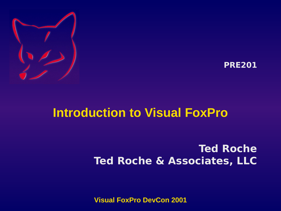



#### **Introduction to Visual FoxPro**

#### **Ted Roche Ted Roche & Associates, LLC**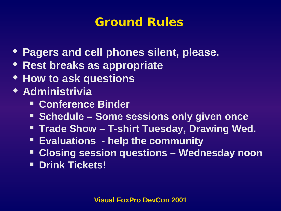#### **Ground Rules**

- **Pagers and cell phones silent, please.**
- **Rest breaks as appropriate**
- **How to ask questions**
- **Administrivia**
	- **Conference Binder**
	- **Schedule Some sessions only given once**
	- **Trade Show T-shirt Tuesday, Drawing Wed.**
	- **Evaluations help the community**
	- **Closing session questions Wednesday noon**
	- **P** Drink Tickets!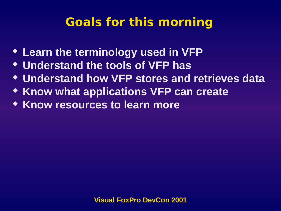## **Goals for this morning**

- **Learn the terminology used in VFP**
- **Understand the tools of VFP has**
- **Understand how VFP stores and retrieves data**
- **KHOW what applications VFP can create**
- **Know resources to learn more**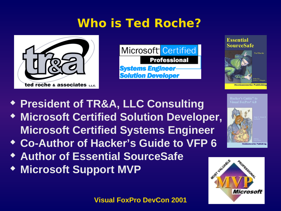## **Who is Ted Roche?**



Microsoft<sup></sup> Certified **Professional Systems Engineer-Solution Developer** 

**Essential SourceSafe** 



**Intzenwerke Publis** 

- **President of TR&A, LLC Consulting**
- **Microsoft Certified Solution Developer, Microsoft Certified Systems Engineer**
- **Co-Author of Hacker's Guide to VFP 6**
- **Author of Essential SourceSafe**
- **Microsoft Support MVP**

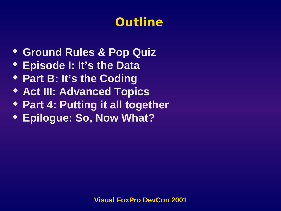## **Outline**

- **Ground Rules & Pop Quiz**
- **Episode I: It's the Data**
- **Part B: It's the Coding**
- **Act III: Advanced Topics**
- **Part 4: Putting it all together**
- **Epilogue: So, Now What?**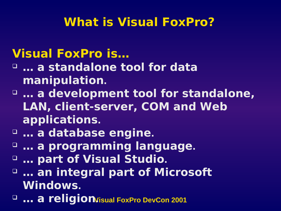#### **What is Visual FoxPro?**

#### **Visual FoxPro is…**

- **… a standalone tool for data manipulation.**
- **… a development tool for standalone, LAN, client-server, COM and Web applications.**
- **… a database engine.**
- **… a programming language.**
- **… part of Visual Studio.**
- **… an integral part of Microsoft Windows.**
- $\Box$  **... a religion**Visual FoxPro DevCon 2001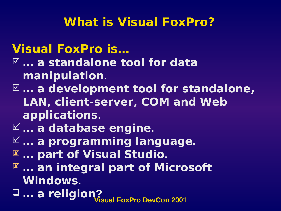#### **What is Visual FoxPro?**

#### **Visual FoxPro is… … a standalone tool for data manipulation.**

- **… a development tool for standalone, LAN, client-server, COM and Web applications.**
- **… a database engine.**
- **… a programming language.**
- **… part of Visual Studio.**
- **… an integral part of Microsoft Windows.**
- **Visual FoxPro DevCon 2001 … a religion?**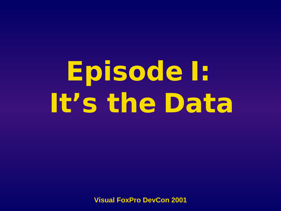# **Episode I: It's the Data**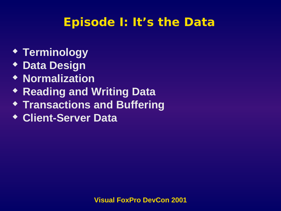## **Episode I: It's the Data**

- **Terminology**
- **Data Design**
- **Normalization**
- **Reading and Writing Data**
- **Transactions and Buffering**
- **Client-Server Data**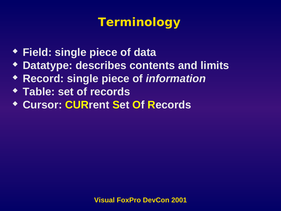## **Terminology**

- **Field: single piece of data**
- **Datatype: describes contents and limits**
- **Record: single piece of** *information*
- **Table: set of records**
- **Cursor: CURrent Set Of Records**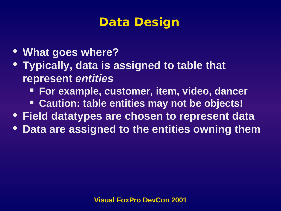## **Data Design**

- **What goes where?**
- **Typically, data is assigned to table that represent** *entities*
	- **For example, customer, item, video, dancer**
	- **Caution: table entities may not be objects!**
- **Field datatypes are chosen to represent data**
- **Data are assigned to the entities owning them**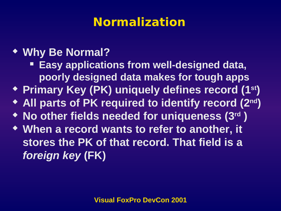## **Normalization**

#### **Why Be Normal?**

- **Easy applications from well-designed data, poorly designed data makes for tough apps**
- **Primary Key (PK) uniquely defines record (1st)**
- **All parts of PK required to identify record (2nd)**
- **No other fields needed for uniqueness (3rd )**
- **When a record wants to refer to another, it stores the PK of that record. That field is a**  *foreign key* **(FK)**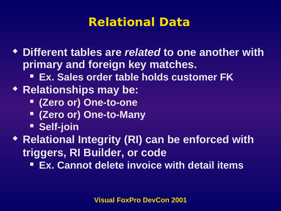#### **Relational Data**

- **Different tables are** *related* **to one another with primary and foreign key matches.**
	- **Ex. Sales order table holds customer FK**
- **Relationships may be:**
	- **(Zero or) One-to-one**
	- **(Zero or) One-to-Many**
	- **Self-join**
- **Relational Integrity (RI) can be enforced with triggers, RI Builder, or code**
	- **Ex. Cannot delete invoice with detail items**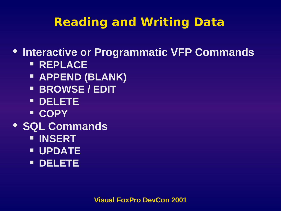## **Reading and Writing Data**

**Interactive or Programmatic VFP Commands**

- **REPLACE**
- **APPEND (BLANK)**
- **BROWSE / EDIT**
- **DELETE**
- **COPY**
- **SQL Commands**
	- **INSERT**
	- **UPDATE**
	- **DELETE**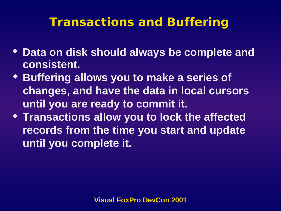#### **Transactions and Buffering**

- **Data on disk should always be complete and consistent.**
- **Buffering allows you to make a series of changes, and have the data in local cursors until you are ready to commit it.**
- **Transactions allow you to lock the affected records from the time you start and update until you complete it.**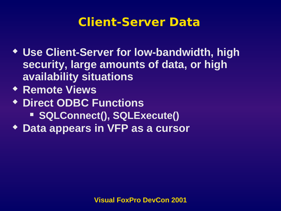#### **Client-Server Data**

- **Use Client-Server for low-bandwidth, high security, large amounts of data, or high availability situations**
- **Remote Views**
- **Direct ODBC Functions SQLConnect(), SQLExecute()**
- **Data appears in VFP as a cursor**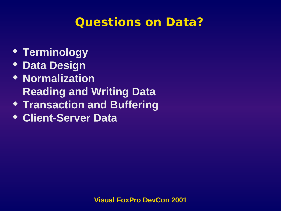#### **Questions on Data?**

- **Terminology**
- **Data Design**
- **Normalization Reading and Writing Data**
- **Transaction and Buffering**
- **Client-Server Data**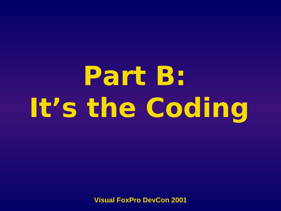# **Part B: It's the Coding**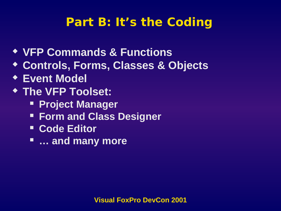#### **Part B: It's the Coding**

- **VFP Commands & Functions**
- **Controls, Forms, Classes & Objects**
- **Event Model**
- **The VFP Toolset:**
	- **Project Manager**
	- **Form and Class Designer**
	- **E** Code Editor
	- **… and many more**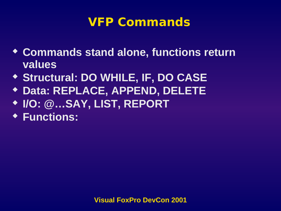#### **VFP Commands**

- **Commands stand alone, functions return values**
- **Structural: DO WHILE, IF, DO CASE**
- **Data: REPLACE, APPEND, DELETE**
- **I/O: @…SAY, LIST, REPORT**
- **Functions:**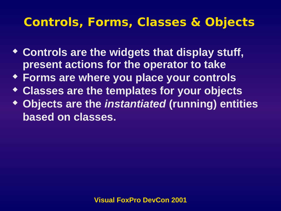#### **Controls, Forms, Classes & Objects**

- **Controls are the widgets that display stuff, present actions for the operator to take**
- **Forms are where you place your controls**
- **Classes are the templates for your objects**
- **Objects are the** *instantiated* **(running) entities based on classes.**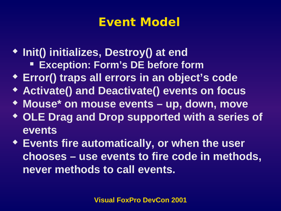#### **Event Model**

- **Init() initializes, Destroy() at end Exception: Form's DE before form**
- **Error() traps all errors in an object's code**
- **Activate() and Deactivate() events on focus**
- **Mouse\* on mouse events up, down, move**
- **OLE Drag and Drop supported with a series of events**
- **Events fire automatically, or when the user chooses – use events to fire code in methods, never methods to call events.**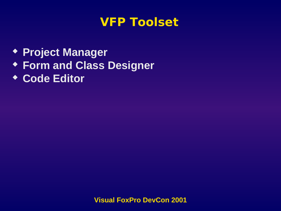#### **VFP Toolset**

- **Project Manager**
- **Form and Class Designer**
- **Code Editor**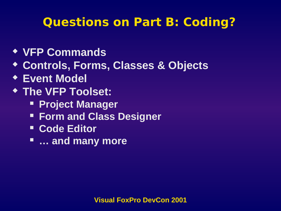## **Questions on Part B: Coding?**

- **VFP Commands**
- **Controls, Forms, Classes & Objects**
- **Event Model**
- **The VFP Toolset:**
	- **Project Manager**
	- **Form and Class Designer**
	- **E** Code Editor
	- **… and many more**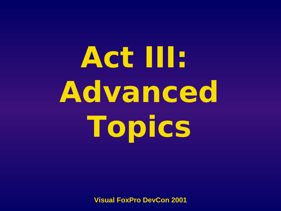# **Act III: Advanced Topics**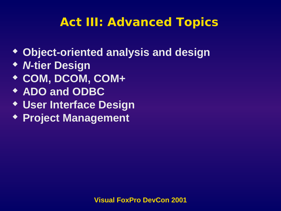## **Act III: Advanced Topics**

- **Object-oriented analysis and design**
- *N***-tier Design**
- **COM, DCOM, COM+**
- **ADO and ODBC**
- **User Interface Design**
- **Project Management**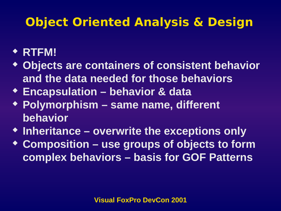## **Object Oriented Analysis & Design**

#### **RTFM!**

- **Objects are containers of consistent behavior and the data needed for those behaviors**
- **Encapsulation behavior & data**
- **Polymorphism same name, different behavior**
- **Inheritance overwrite the exceptions only**
- **Composition use groups of objects to form complex behaviors – basis for GOF Patterns**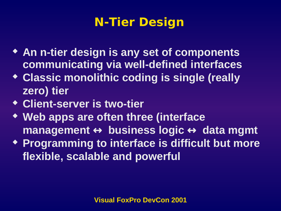## **N-Tier Design**

- **An n-tier design is any set of components communicating via well-defined interfaces**
- **Classic monolithic coding is single (really zero) tier**
- **Client-server is two-tier**
- **Web apps are often three (interface management** ↔ **business logic** ↔ **data mgmt**
- **Programming to interface is difficult but more flexible, scalable and powerful**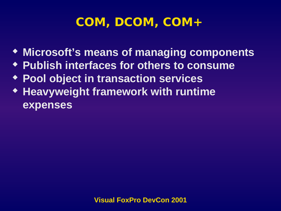## **COM, DCOM, COM+**

- **Microsoft's means of managing components**
- **Publish interfaces for others to consume**
- **Pool object in transaction services**
- **Heavyweight framework with runtime expenses**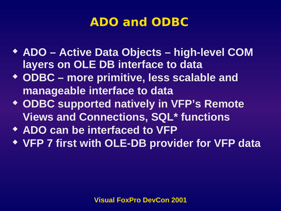#### **ADO and ODBC**

- **ADO Active Data Objects high-level COM layers on OLE DB interface to data**
- **ODBC more primitive, less scalable and manageable interface to data**
- **ODBC supported natively in VFP's Remote Views and Connections, SQL\* functions**
- **ADO can be interfaced to VFP**
- **VFP 7 first with OLE-DB provider for VFP data**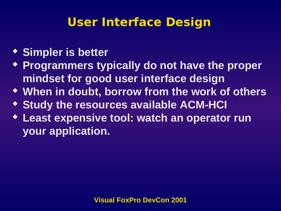#### **User Interface Design**

#### **Simpler is better**

- **Programmers typically do not have the proper mindset for good user interface design**
- **When in doubt, borrow from the work of others**
- **Study the resources available ACM-HCI**
- **Least expensive tool: watch an operator run your application.**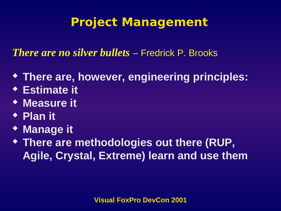## **Project Management**

*There are no silver bullets* – Fredrick P. Brooks

- **There are, however, engineering principles:**
- **Estimate it**
- **Measure it**
- **Plan it**
- **Manage it**
- **There are methodologies out there (RUP, Agile, Crystal, Extreme) learn and use them**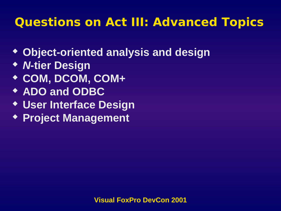## **Questions on Act III: Advanced Topics**

- **Object-oriented analysis and design**
- *N***-tier Design**
- **COM, DCOM, COM+**
- **ADO and ODBC**
- **User Interface Design**
- **Project Management**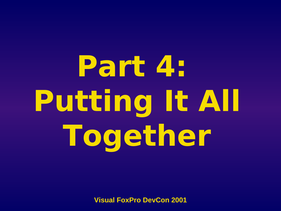**Part 4: Putting It All Together**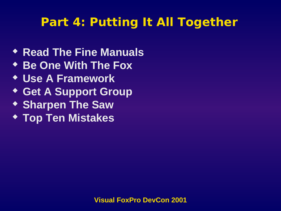#### **Part 4: Putting It All Together**

- **Read The Fine Manuals**
- **Be One With The Fox**
- **Use A Framework**
- **Get A Support Group**
- **\* Sharpen The Saw**
- **Top Ten Mistakes**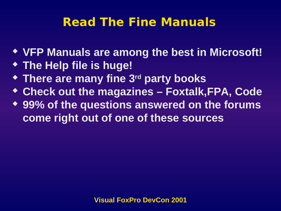## **Read The Fine Manuals**

- **VFP Manuals are among the best in Microsoft!**
- **The Help file is huge!**
- **There are many fine 3rd party books**
- **Check out the magazines Foxtalk,FPA, Code**
- **99% of the questions answered on the forums come right out of one of these sources**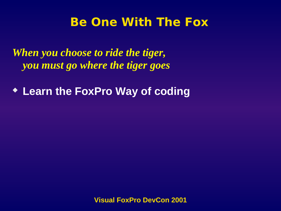#### **Be One With The Fox**

*When you choose to ride the tiger, you must go where the tiger goes*

**Learn the FoxPro Way of coding**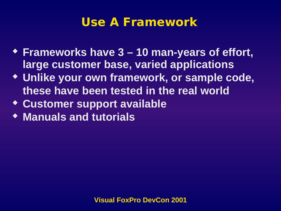#### **Use A Framework**

- **Frameworks have 3 10 man-years of effort, large customer base, varied applications**
- **Unlike your own framework, or sample code, these have been tested in the real world**
- **Customer support available**
- **Manuals and tutorials**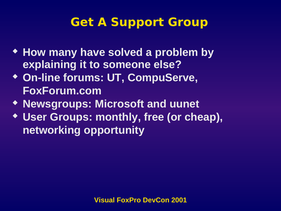## **Get A Support Group**

- **How many have solved a problem by explaining it to someone else?**
- **On-line forums: UT, CompuServe, FoxForum.com**
- **Newsgroups: Microsoft and uunet**
- **User Groups: monthly, free (or cheap), networking opportunity**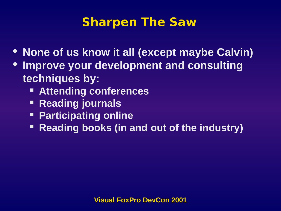#### **Sharpen The Saw**

- **None of us know it all (except maybe Calvin)**
- **Improve your development and consulting techniques by:**
	- **Attending conferences**
	- **Reading journals**
	- **Participating online**
	- **Reading books (in and out of the industry)**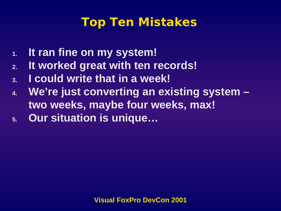#### **Top Ten Mistakes**

- **1. It ran fine on my system!**
- **2. It worked great with ten records!**
- **3. I could write that in a week!**
- **4. We're just converting an existing system two weeks, maybe four weeks, max!**
- **5. Our situation is unique…**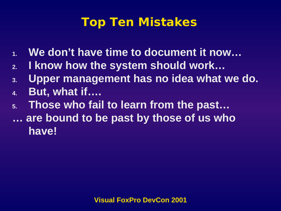#### **Top Ten Mistakes**

- **1. We don't have time to document it now…**
- **2. I know how the system should work…**
- **3. Upper management has no idea what we do.**
- **4. But, what if….**
- **5. Those who fail to learn from the past… … are bound to be past by those of us who have!**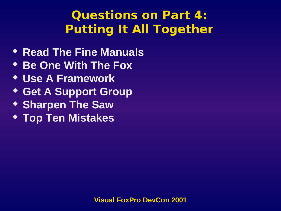## **Questions on Part 4: Putting It All Together**

- **Read The Fine Manuals**
- **Be One With The Fox**
- **Use A Framework**
- **Get A Support Group**
- **\* Sharpen The Saw**
- **Top Ten Mistakes**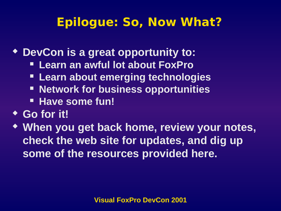## **Epilogue: So, Now What?**

- **DevCon is a great opportunity to:**
	- **Learn an awful lot about FoxPro**
	- **Learn about emerging technologies**
	- **EXECT:** Network for business opportunities
	- **Have some fun!**
- **Go for it!**
- **When you get back home, review your notes, check the web site for updates, and dig up some of the resources provided here.**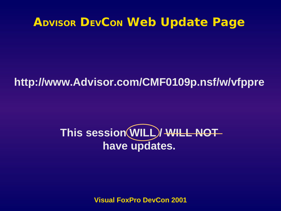#### **ADVISOR DEVCON Web Update Page**

#### **http://www.Advisor.com/CMF0109p.nsf/w/vfppre**

## This session (WILL)/ WILL NOT **have updates.**